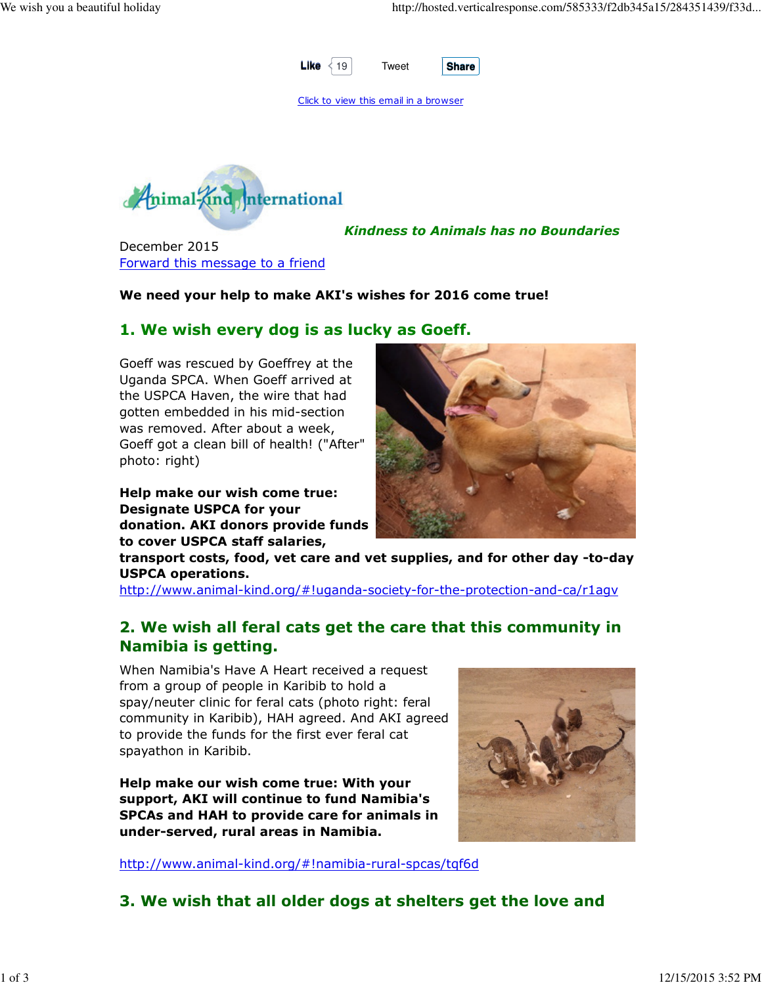

Click to view this email in a browser



Kindness to Animals has no Boundaries

December 2015 Forward this message to a friend

#### We need your help to make AKI's wishes for 2016 come true!

#### 1. We wish every dog is as lucky as Goeff.

Goeff was rescued by Goeffrey at the Uganda SPCA. When Goeff arrived at the USPCA Haven, the wire that had gotten embedded in his mid-section was removed. After about a week, Goeff got a clean bill of health! ("After" photo: right)

Help make our wish come true: Designate USPCA for your donation. AKI donors provide funds to cover USPCA staff salaries,



transport costs, food, vet care and vet supplies, and for other day -to-day USPCA operations.

http://www.animal-kind.org/#!uganda-society-for-the-protection-and-ca/r1agv

# 2. We wish all feral cats get the care that this community in Namibia is getting.

When Namibia's Have A Heart received a request from a group of people in Karibib to hold a spay/neuter clinic for feral cats (photo right: feral community in Karibib), HAH agreed. And AKI agreed to provide the funds for the first ever feral cat spayathon in Karibib.

Help make our wish come true: With your support, AKI will continue to fund Namibia's SPCAs and HAH to provide care for animals in under-served, rural areas in Namibia.

http://www.animal-kind.org/#!namibia-rural-spcas/tqf6d



3. We wish that all older dogs at shelters get the love and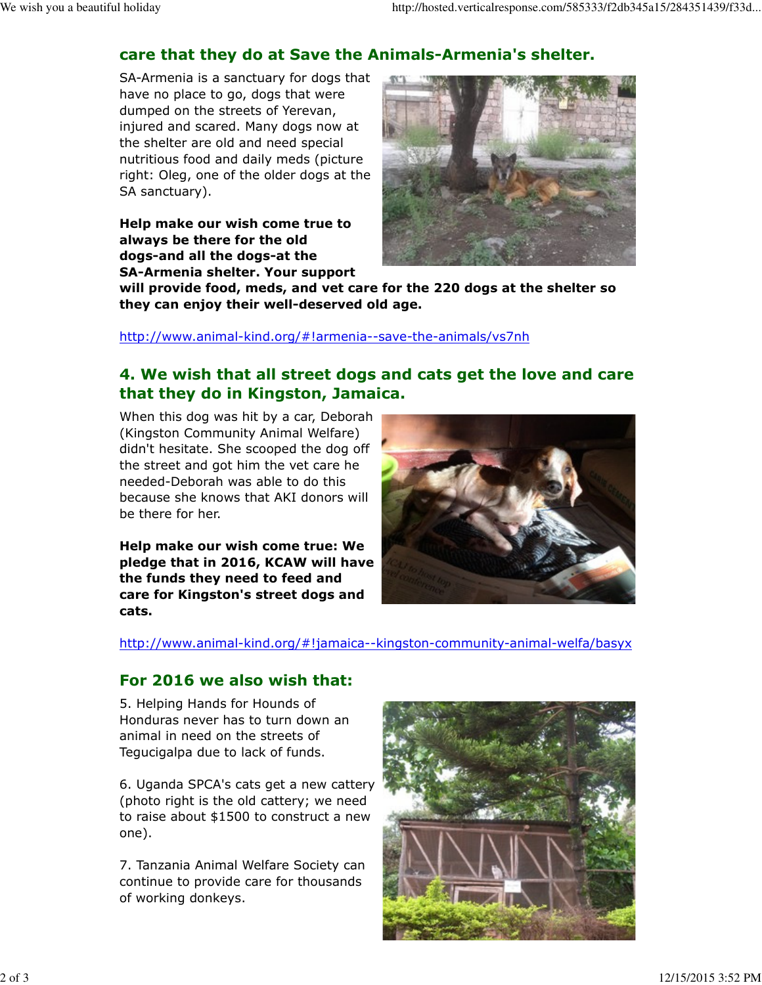# care that they do at Save the Animals-Armenia's shelter.

SA-Armenia is a sanctuary for dogs that have no place to go, dogs that were dumped on the streets of Yerevan, injured and scared. Many dogs now at the shelter are old and need special nutritious food and daily meds (picture right: Oleg, one of the older dogs at the SA sanctuary).

Help make our wish come true to always be there for the old dogs-and all the dogs-at the SA-Armenia shelter. Your support



will provide food, meds, and vet care for the 220 dogs at the shelter so they can enjoy their well-deserved old age.

http://www.animal-kind.org/#!armenia--save-the-animals/vs7nh

## 4. We wish that all street dogs and cats get the love and care that they do in Kingston, Jamaica.

When this dog was hit by a car, Deborah (Kingston Community Animal Welfare) didn't hesitate. She scooped the dog off the street and got him the vet care he needed-Deborah was able to do this because she knows that AKI donors will be there for her.

Help make our wish come true: We pledge that in 2016, KCAW will have the funds they need to feed and care for Kingston's street dogs and cats.



http://www.animal-kind.org/#!jamaica--kingston-community-animal-welfa/basyx

### For 2016 we also wish that:

5. Helping Hands for Hounds of Honduras never has to turn down an animal in need on the streets of Tegucigalpa due to lack of funds.

6. Uganda SPCA's cats get a new cattery (photo right is the old cattery; we need to raise about \$1500 to construct a new one).

7. Tanzania Animal Welfare Society can continue to provide care for thousands of working donkeys.